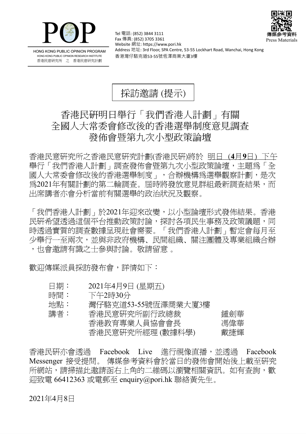



HONG KONG PUBLIC OPINION PROGRAM HONG KONG PUBLIC OPINION RESEARCH INSTITUTE 香港民意研究所 之 香港民意研究計劃

Tel 電話: (852) 3844 3111 Fax 傳真: (852) 3705 3361 Website 網址: https://www.pori.hk Address 地址: 3rd Floor, SPA Centre, 53-55 Lockhart Road, Wanchai, Hong Kong 香港灣仔駱克道53-55號恆澤商業大廈3樓

## 採訪邀請 (提示)

## 香港民研明日舉行「我們香港人計劃」有關 全國人大常委會修改後的香港選舉制度意見調查 發佈會暨第九次小型政策論壇

香 港 民 意 研 究 所 之 香 港 民 意 研 究 計 劃 (香 港 民 研)將 於 明日 (**4** 月**9** 日) 下午 舉行「我們香港人計劃」調査發佈會暨第九次小型政策論壇,主題為「全 國人大常委會修改後的香港選舉制度 , , 合辦機構為選舉觀察計劃, 是次 爲2021年有關計劃的第二輪調查。屆時將發放意見群組最新調查結果,而 出席講者亦會分析當前有關選舉的政治狀況及觀察。

「我們香港人計劃」於2021年迎來改變,以小型論壇形式發佈結果。香港 民研希望透過這個平台推動政策討論,探討各項民生事務及政策議題,同 時透過實質的調查數據呈現社會需要。「我們香港人計劃」暫定會每月至 少舉行一至兩次,並與非政府機構、民間組織、關注團體及專業組織合辦 ,也會激請有識之士參與討論。敬請留意 。

歡迎傳媒派員採訪發布會,詳情如下:

- 日期: 2021年4月9日 (星期五)
- 時間: 下午2時30分

| 地點: | 灣仔駱克道53-55號恆澤商業大廈3樓 |     |
|-----|---------------------|-----|
| 講者: | 香港民意研究所副行政總裁        | 鍾劍華 |
|     | 香港教育專業人員協會會長        | 馮偉華 |

香港民意研究所經理 (數據科學) 戴捷輝

香港民研亦會透過 Facebook Live 進行視像直播, 並透過 Facebook Messenger 接受提問。 傳媒參考資料會於當日的發佈會開始後上載至研究 所網站,請掃描此激請函右上角的二維碼以瀏覽相關資訊。如有杳詢,歡  $\overline{1}$ 迎致雷 66412363 或電郵至 enquiry@pori.hk 聯絡黃先生。

## 2021年4月8日